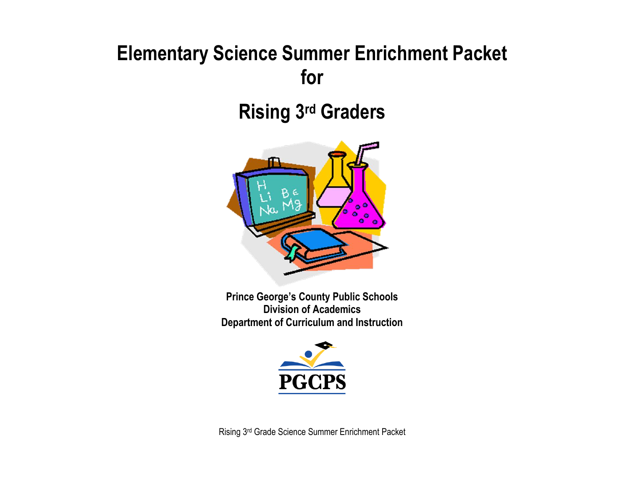# **Elementary Science Summer Enrichment Packet for**

# **Rising 3 rd Graders**



**Prince George's County Public Schools Division of Academics Department of Curriculum and Instruction**



Rising 3rd Grade Science Summer Enrichment Packet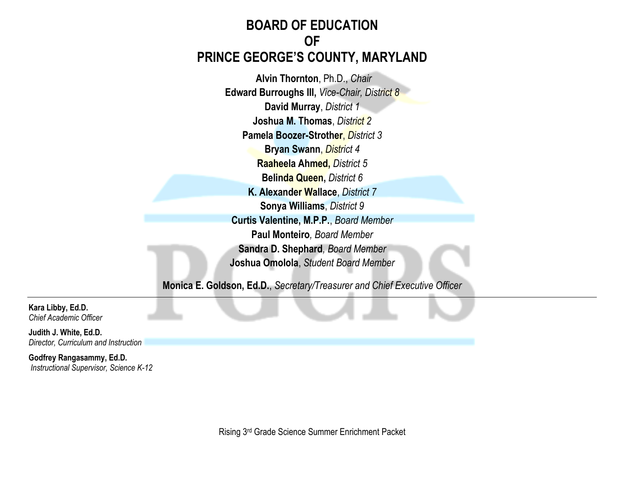# **BOARD OF EDUCATION OF PRINCE GEORGE'S COUNTY, MARYLAND**

**Alvin Thornton**, Ph.D., *Chair* **Edward Burroughs III,** *Vice-Chair, District 8* **David Murray**, *District 1* **Joshua M. Thomas**, *District 2* **Pamela Boozer-Strother**, *District 3* **Bryan Swann**, *District 4* **Raaheela Ahmed,** *District 5* **Belinda Queen,** *District 6* **K. Alexander Wallace**, *District 7* **Sonya Williams**, *District 9* **Curtis Valentine, M.P.P.**, *Board Member* **Paul Monteiro***, Board Member* **Sandra D. Shephard***, Board Member* **Joshua Omolola**, *Student Board Member*

**Monica E. Goldson, Ed.D.**, *Secretary/Treasurer and Chief Executive Officer*

**Kara Libby, Ed.D.** *Chief Academic Officer*

**Judith J. White, Ed.D.** *Director, Curriculum and Instruction*

**Godfrey Rangasammy, Ed.D.** *Instructional Supervisor, Science K-12*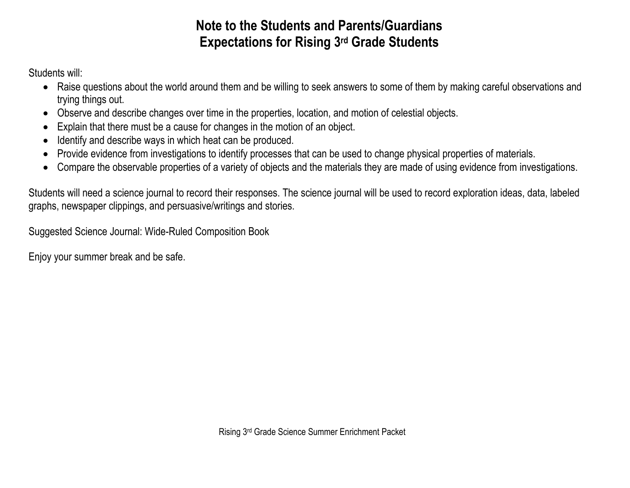# **Note to the Students and Parents/Guardians Expectations for Rising 3 rd Grade Students**

Students will:

- Raise questions about the world around them and be willing to seek answers to some of them by making careful observations and trying things out.
- Observe and describe changes over time in the properties, location, and motion of celestial objects.
- Explain that there must be a cause for changes in the motion of an object.
- Identify and describe ways in which heat can be produced.
- Provide evidence from investigations to identify processes that can be used to change physical properties of materials.
- Compare the observable properties of a variety of objects and the materials they are made of using evidence from investigations.

Students will need a science journal to record their responses. The science journal will be used to record exploration ideas, data, labeled graphs, newspaper clippings, and persuasive/writings and stories.

Suggested Science Journal: Wide-Ruled Composition Book

Enjoy your summer break and be safe.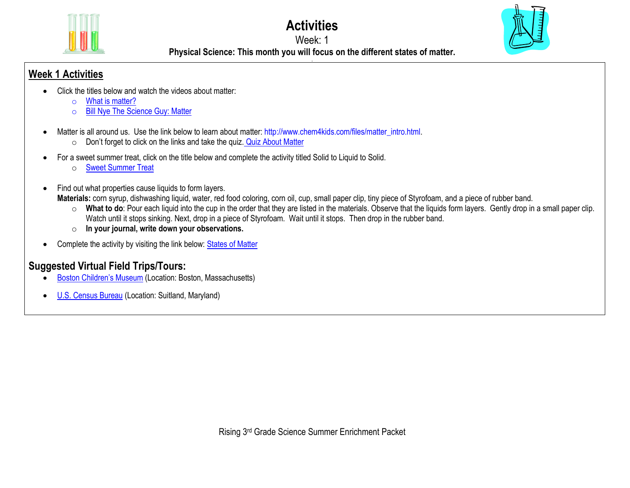

**Activities**

#### Week: 1



**Physical Science: This month you will focus on the different states of matter. .**

#### **Week 1 Activities**

- Click the titles below and watch the videos about matter:
	- o [What is matter?](https://www.youtube.com/watch?v=7mGxgvFa-5Q)
	- o [Bill Nye The Science Guy: Matter](https://www.youtube.com/watch?v=k3SJuozgbfU)
- Matter is all around us. Use the link below to learn about matter: [http://www.chem4kids.com/files/matter\\_intro.html.](http://www.chem4kids.com/files/matter_intro.html)
	- o Don't forget to click on the links and take the quiz. [Quiz About Matter](http://www.chem4kids.com/extras/quiz_matterintro/index.html)
- For a sweet summer treat, click on the title below and complete the activity titled Solid to Liquid to Solid.
	- o [Sweet Summer Treat](https://docs.google.com/document/d/1vj2FAal6-fWzQWUQnYTfwHOCw3RW1Y02_91ahahffyw/edit?usp=sharing)
- Find out what properties cause liquids to form layers.
	- **Materials:** corn syrup, dishwashing liquid, water, red food coloring, corn oil, cup, small paper clip, tiny piece of Styrofoam, and a piece of rubber band.
		- o **What to do**: Pour each liquid into the cup in the order that they are listed in the materials. Observe that the liquids form layers. Gently drop in a small paper clip. Watch until it stops sinking. Next, drop in a piece of Styrofoam. Wait until it stops. Then drop in the rubber band.
		- o **In your journal, write down your observations.**
- Complete the activity by visiting the link below: [States of Matter](http://www.abcya.com/states_of_matter.htm)

# **Suggested Virtual Field Trips/Tours:**

- [Boston Children's Museum](https://www.bostonchildrensmuseum.org/museum-virtual-tour) (Location: Boston, Massachusetts)
- [U.S. Census Bureau](https://www.census.gov/library/video/2020/mission-census-virtual-field-trip-to-the-census-bureau.html) (Location: Suitland, Maryland)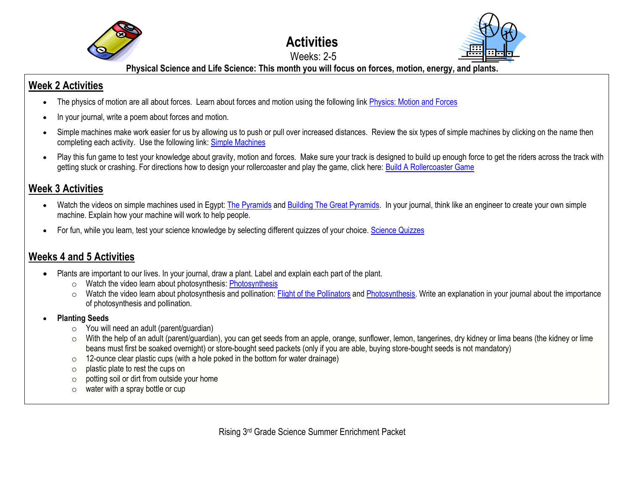

#### **Activities** Weeks: 2-5



**Physical Science and Life Science: This month you will focus on forces, motion, energy, and plants.**

### **Week 2 Activities**

- The physics of motion are all about forces. Learn about forces and motion using the following link [Physics: Motion and Forces](http://bit.ly/cAqyPe)
- In your journal, write a poem about forces and motion.
- Simple machines make work easier for us by allowing us to push or pull over increased distances. Review the six types of simple machines by clicking on the name then completing each activity. Use the following link: [Simple Machines](http://bit.ly/11FE75)
- Play this fun game to test your knowledge about gravity, motion and forces. Make sure your track is designed to build up enough force to get the riders across the track with getting stuck or crashing. For directions how to design your rollercoaster and play the game, click here[: Build A Rollercoaster Game](https://www.learn4good.com/games/building-construction/rollercoastergame.htm)

### **Week 3 Activities**

- Watch the videos on simple machines used in Egypt[: The Pyramids](https://www.dkfindout.com/us/history/ancient-egypt/building-pyramids/) an[d Building The Great Pyramids.](https://discoveringegypt.com/egyptian-video-documentaries/building-khufu-cheops-great-pyramid/) In your journal, think like an engineer to create your own simple machine. Explain how your machine will work to help people.
- For fun, while you learn, test your science knowledge by selecting different quizzes of your choice. [Science Quizzes](https://www.dkfindout.com/us/search/simple-machine-quiz/)

## **Weeks 4 and 5 Activities**

- Plants are important to our lives. In your journal, draw a plant. Label and explain each part of the plant.
	- o Watch the video learn about photosynthesis: [Photosynthesis](http://studyjams.scholastic.com/studyjams/jams/science/plants/photosynthesis.htm)
	- $\circ$  Watch the video learn about photosynthesis and pollination[: Flight of the Pollinators](https://www.pbslearningmedia.org/resource/7029ed58-adaa-43d6-a46a-105e84f2511f/7029ed58-adaa-43d6-a46a-105e84f2511f/) an[d Photosynthesis.](https://www.pbslearningmedia.org/resource/mister-c-photosynthesis/photosynthesis/) Write an explanation in your journal about the importance of photosynthesis and pollination.
- **Planting Seeds**
	- $\circ$  You will need an adult (parent/quardian)
	- o With the help of an adult (parent/guardian), you can get seeds from an apple, orange, sunflower, lemon, tangerines, dry kidney or lima beans (the kidney or lime beans must first be soaked overnight) or store-bought seed packets (only if you are able, buying store-bought seeds is not mandatory)
	- $\circ$  12-ounce clear plastic cups (with a hole poked in the bottom for water drainage)
	- o plastic plate to rest the cups on
	- o potting soil or dirt from outside your home
	- $\circ$  water with a spray bottle or cup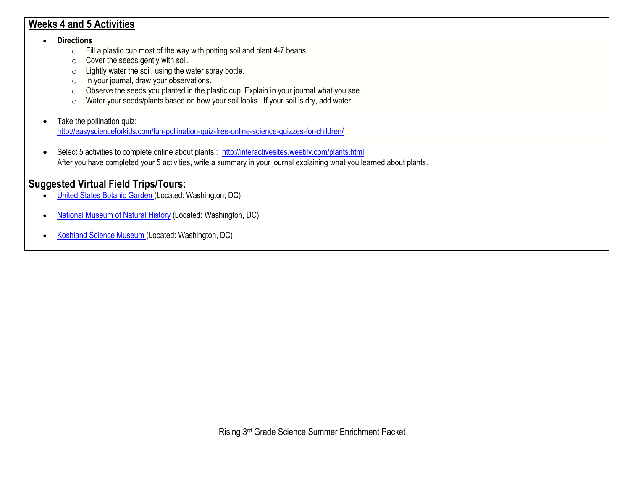#### **Weeks 4 and 5 Activities**

#### • **Directions**

- o Fill a plastic cup most of the way with potting soil and plant 4-7 beans.
- $\circ$  Cover the seeds gently with soil.
- o Lightly water the soil, using the water spray bottle.
- o In your journal, draw your observations.
- o Observe the seeds you planted in the plastic cup. Explain in your journal what you see.
- o Water your seeds/plants based on how your soil looks. If your soil is dry, add water.
- Take the pollination quiz: <http://easyscienceforkids.com/fun-pollination-quiz-free-online-science-quizzes-for-children/>
- Select 5 activities to complete online about plants.: <http://interactivesites.weebly.com/plants.html> After you have completed your 5 activities, write a summary in your journal explaining what you learned about plants.

## **Suggested Virtual Field Trips/Tours:**

- [United States Botanic Garden](https://www.usbg.gov/take-virtual-tour) (Located: Washington, DC)
- [National Museum of Natural](https://naturalhistory.si.edu/search/virtual%2Btour) History (Located: Washington, DC)
- [Koshland Science Museum](https://www.koshland-science-museum.org/) (Located: Washington, DC)